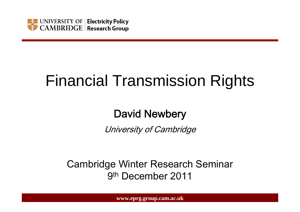

# Financial Transmission Rights

### David Newbery

University of Cambridge

Cambridge Winter Research Seminar 9th December 2011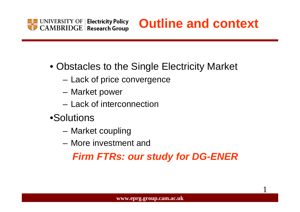

## **Outline and context**

1

- Obstacles to the Single Electricity Market
	- Lack of price convergence
	- Market power
	- Lack of interconnection
- •Solutions
	- –Market coupling
	- More investment and

### *Firm FTRs: our study for DG-ENER*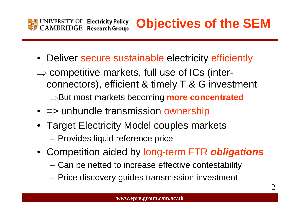

## **Objectives of the SEM**

- Deliver secure sustainable electricity efficiently
- $\Rightarrow$  competitive markets, full use of ICs (interconnectors), efficient & timely T & G investment <sup>⇒</sup>But most markets becoming **more concentrated**
- => unbundle transmission ownership
- Target Electricity Model couples markets

Provides liquid reference price

- Competition aided by long-term FTR *obligations*
	- Can be netted to increase effective contestability
	- Price discovery guides transmission investment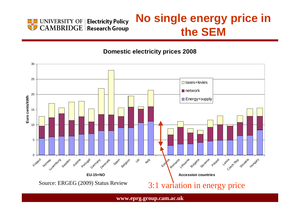

### **No single energy price in the SEM**

**Domestic electricity prices 2008**

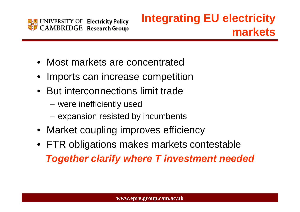

### **Integrating EU electricity markets**

- Most markets are concentrated
- •Imports can increase competition
- But interconnections limit trade
	- –were inefficiently used
	- –expansion resisted by incumbents
- Market coupling improves efficiency
- FTR obligations makes markets contestable *Together clarify where T investment needed*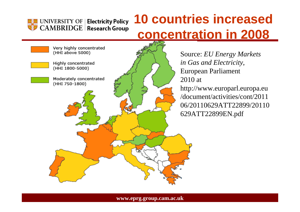

## **10 countries increased concentration in 2008**

Very highly concentrated (HHI above 5000) Highly concentrated (HHI 1800-5000) Moderately concentrated (HHI 750-1800)

Source: *EU Energy Markets in Gas and Electricity*, European Parliament 2010 athttp://www.europarl.europa.eu /document/activities/cont/201106/20110629ATT22899/20110629ATT22899EN.pdf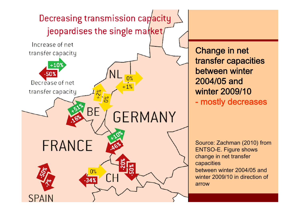

Change in net transfer capacities between winter 2004/05 and winter 2009/10 - mostly decreases

Source: Zachman (2010) from ENTSO-E. Figure shows change in net transfer capacities between winter 2004/05 andwinter 2009/10 in direction of arrow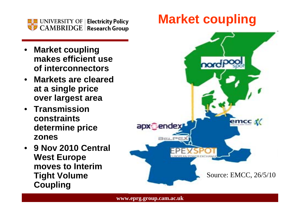

- • **Market coupling makes efficient useof interconnectors**
- • **Markets are clearedat a single price over largest area**
- **Transmissionconstraintsdetermine price zones**
- • **9 Nov 2010 Central West Europe moves to InterimTight Volume Coupling**

## **Market coupling**

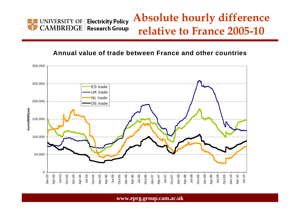

### **Absolute hourly difference relative to France 2005-10**

#### **Annual value of trade between France and other countries**

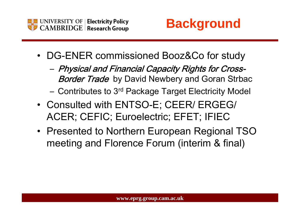



- DG-ENER commissioned Booz&Co for study
	- Physical and Financial Capacity Rights for Cross-**Border Trade** by David Newbery and Goran Strbac
	- Contributes to 3rd Package Target Electricity Model
- Consulted with ENTSO-E; CEER/ ERGEG/ ACER; CEFIC; Euroelectric; EFET; IFIEC
- Presented to Northern European Regional TSO meeting and Florence Forum (interim & final)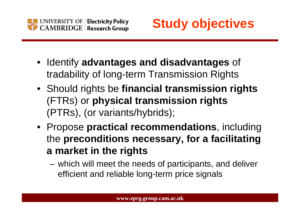



- Identify **advantages and disadvantages** of tradability of long-term Transmission Rights
- Should rights be **financial transmission rights** (FTRs) or **physical transmission rights** (PTRs), (or variants/hybrids);
- Propose **practical recommendations**, including the **preconditions necessary, for a facilitating a market in the rights**
	- – which will meet the needs of participants, and deliver efficient and reliable long-term price signals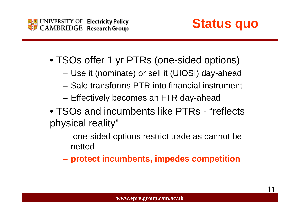



11

- TSOs offer 1 yr PTRs (one-sided options)
	- Use it (nominate) or sell it (UIOSI) day-ahead
	- Sale transforms PTR into financial instrument
	- Effectively becomes an FTR day-ahead
- TSOs and incumbents like PTRs "reflects physical reality"
	- – one-sided options restrict trade as cannot be netted
	- –**protect incumbents, impedes competition**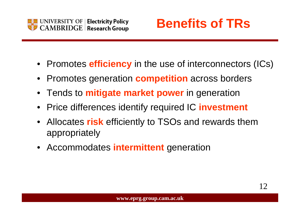

## **Benefits of TRs**

- Promotes **efficiency** in the use of interconnectors (ICs)
- •Promotes generation **competition** across borders
- $\bullet$ Tends to **mitigate market power** in generation
- $\bullet$ Price differences identify required IC **investment**
- Allocates **risk** efficiently to TSOs and rewards them appropriately
- Accommodates **intermittent** generation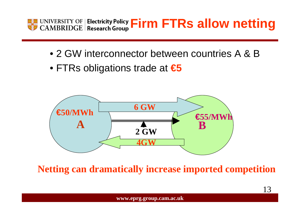

- 2 GW interconnector between countries A & B
- FTRs obligations trade at **€5**



**Netting can dramatically increase imported competition**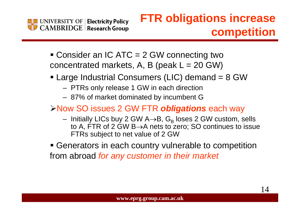

### **FTR obligations increase competition**

- Consider an IC ATC = 2 GW connecting two concentrated markets, A, B (peak  $L = 20$  GW)
- Large Industrial Consumers (LIC) demand = 8 GW
	- PTRs only release 1 GW in each direction
	- 87% of market dominated by incumbent G
- ¾Now SO issues 2 GW FTR *obligations* each way
	- Initially LICs buy 2 GW A $\rightarrow$ B, G<sub>B</sub> loses 2 GW custom, sells to A, FTR of 2 GW B→A nets to zero; SO continues to issue FTRs subject to net value of 2 GW
- Generators in each country vulnerable to competition from abroad *for any customer in their market*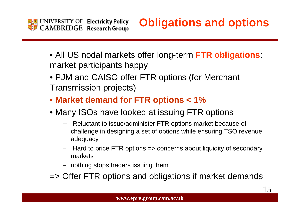

- All US nodal markets offer long-term **FTR obligations**: market participants happy
- PJM and CAISO offer FTR options (for Merchant Transmission projects)
- • **Market demand for FTR options < 1%**
- Many ISOs have looked at issuing FTR options
	- Reluctant to issue/administer FTR options market because of challenge in designing a set of options while ensuring TSO revenue adequacy
	- Hard to price FTR options => concerns about liquidity of secondary markets
	- nothing stops traders issuing them
- => Offer FTR options and obligations if market demands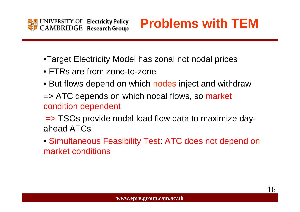

## **Problems with TEM**

- •Target Electricity Model has zonal not nodal prices
- FTRs are from zone-to-zone
- But flows depend on which nodes inject and withdraw
- => ATC depends on which nodal flows, so market condition dependent
- => TSOs provide nodal load flow data to maximize dayahead ATCs
- Simultaneous Feasibility Test: ATC does not depend on market conditions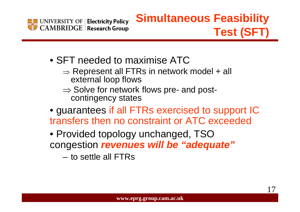

### **Simultaneous Feasibility Test (SFT)**

- SFT needed to maximise ATC
	- $\Rightarrow$  Represent all FTRs in network model + all external loop flows
	- $\Rightarrow$  Solve for network flows pre- and postcontingency states
- guarantees if all FTRs exercised to support IC transfers then no constraint or ATC exceeded
- Provided topology unchanged, TSO congestion *revenues will be "adequate"*
	- to settle all FTRs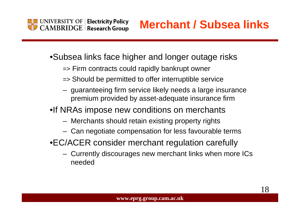

**Merchant / Subsea links**

18

•Subsea links face higher and longer outage risks

- => Firm contracts could rapidly bankrupt owner
- => Should be permitted to offer interruptible service
- guaranteeing firm service likely needs a large insurance premium provided by asset-adequate insurance firm

•If NRAs impose new conditions on merchants

- Merchants should retain existing property rights
- Can negotiate compensation for less favourable terms
- •EC/ACER consider merchant regulation carefully
	- Currently discourages new merchant links when more ICs needed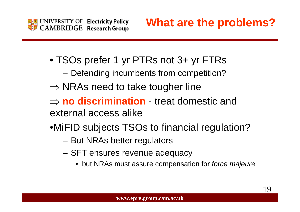

- TSOs prefer 1 yr PTRs not 3+ yr FTRs
	- Defending incumbents from competition?
- $\Rightarrow$  NRAs need to take tougher line
- ⇒ **no discrimination** treat domestic and external access alike
- •MiFID subjects TSOs to financial regulation?
	- But NRAs better regulators
	- SFT ensures revenue adequacy
		- but NRAs must assure compensation for *force majeure*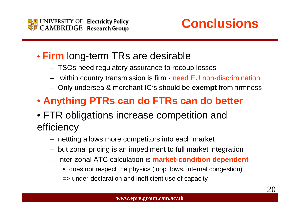



20

- **Firm** long-term TRs are desirable
	- TSOs need regulatory assurance to recoup losses
	- within country transmission is firm need EU non-discrimination
	- Only undersea & merchant IC's should be **exempt** from firmness
- • **Anything PTRs can do FTRs can do better**
- FTR obligations increase competition and efficiency
	- nettting allows more competitors into each market
	- but zonal pricing is an impediment to full market integration
	- Inter-zonal ATC calculation is **market-condition dependent**
		- does not respect the physics (loop flows, internal congestion)
		- => under-declaration and inefficient use of capacity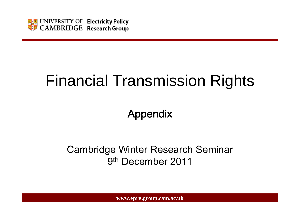

# Financial Transmission Rights

### Appendix

### Cambridge Winter Research Seminar 9th December 2011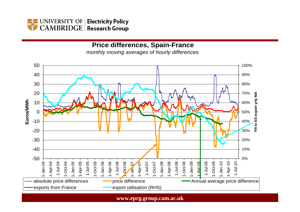

#### **Price differences, Spain-France**

*monthly moving averages of hourly differences*

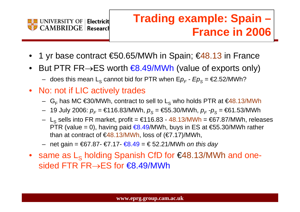

## **Trading example: Spain – France in 2006**

- •1 yr base contract €50.65/MWh in Spain; €48.13 in France
- $\bullet$ But PTR FR $\rightarrow$ ES worth  $\bigoplus$ .49/MWh (value of exports only)
	- $−$  does this mean L<sub>s</sub> cannot bid for PTR when E $\rho_{\rm \scriptscriptstyle F}$   $E p_{\rm \scriptscriptstyle S}$  = €2.52/MWh?
- No: not if LIC actively trades
	- $\,$  G<sub>F</sub> has MC €30/MWh, contract to sell to L<sub>s</sub> who holds PTR at €48.13/MWh
	- 19 July 2006: *p<sub>F</sub>* = €116.83/MWh, *p<sub>S</sub>* = €55.30/MWh, *p<sub>F</sub> -p<sub>S</sub>* = €61.53/MWh
	- $−\,$  L $_{\rm S}$  sells into FR market, profit = €116.83 48.13/MWh = €67.87/MWh, releases PTR (value = 0), having paid  $€8.49/MWh$ , buys in ES at  $€55.30/MWh$  rather than at contract of  $\epsilon$ 48.13/MWh, loss of  $(\epsilon$ 7.17)/MWh,
	- net gain = €67.87- €7.17- €8.49 = € 52.21/MWh *on this day*
- same as  $\mathsf{L}_\mathsf{S}$  holding Spanish CfD for  $\mathsf{\in}48.13\mathsf{MWh}$  and onesided FTR FR→ES for €8.49/MWh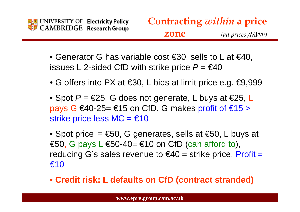

- Generator G has variable cost €30, sells to L at €40, issues L 2-sided CfD with strike price *P =* €40
- G offers into PX at  $\epsilon$ 30, L bids at limit price e.g.  $\epsilon$ 9,999
- Spot  $P = \epsilon 25$ , G does not generate, L buys at  $\epsilon 25$ , L pays G  $€40-25= €15$  on CfD, G makes profit of  $€15>$ strike price less  $MC = €10$

• Spot price  $= \epsilon 50$ , G generates, sells at  $\epsilon 50$ , L buys at  $€50$ , G pays L  $€50-40= €10$  on CfD (can afford to), reducing G's sales revenue to  $\epsilon$ 40 = strike price. Profit = €10

• **Credit risk: L defaults on CfD (contract stranded)**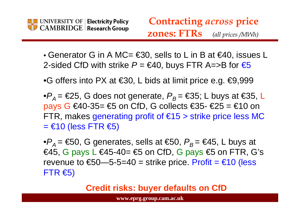

- Generator G in A MC=  $\epsilon$ 30, sells to L in B at  $\epsilon$ 40, issues L 2-sided CfD with strike  $P = \epsilon 40$ , buys FTR A=>B for  $\epsilon 5$
- •G offers into PX at  $\epsilon$ 30, L bids at limit price e.g.  $\epsilon$ 9,999
- ${}^\bullet P_A^{}$  = €25, G does not generate,  $P_B^{}$  = €35; L buys at €35, L pays G €40-35=  $\text{\$}$  on CfD, G collects  $\text{\$}35$ -  $\text{\$}25$  =  $\text{\$}10$  on FTR, makes generating profit of  $\epsilon$ 15 > strike price less MC  $=$  €10 (less FTR  $\epsilon$ 5)

 $\bullet P_{\mathcal{A}}^{}$ = €50, G generates, sells at €50,  $P_{\mathcal{B}}^{}$ = €45, L buys at  $€45$ , G pays L  $€45-40= €5$  on CfD, G pays  $€5$  on FTR, G's revenue to  $\text{\$50--5$-5=40}$  = strike price. Profit =  $\text{\$10}$  (less  $FTR \in S$ 

**Credit risks: buyer defaults on CfD**